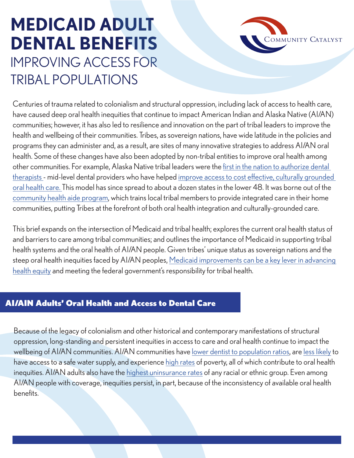# **MEDICAID ADULT DENTAL BENEFITS** IMPROVING ACCESS FOR TRIBAL POPULATIONS



Centuries of trauma related to colonialism and structural oppression, including lack of access to health care, have caused deep oral health inequities that continue to impact American Indian and Alaska Native (AI/AN) communities; however, it has also led to resilience and innovation on the part of tribal leaders to improve the health and wellbeing of their communities. Tribes, as sovereign nations, have wide latitude in the policies and programs they can administer and, as a result, are sites of many innovative strategies to address AI/AN oral health. Some of these changes have also been adopted by non-tribal entities to improve oral health among other communities. For example, Alaska Native tribal leaders were the [first in the nation to authorize dental](https://www.ncbi.nlm.nih.gov/pmc/articles/PMC5497874/)  [therapists -](https://www.ncbi.nlm.nih.gov/pmc/articles/PMC5497874/) mid-level dental providers who have helped [improve access to cost effective, culturally grounded](https://onlinelibrary.wiley.com/doi/abs/10.1111/jphd.12263)  [oral health care.](https://onlinelibrary.wiley.com/doi/abs/10.1111/jphd.12263) This model has since spread to about a dozen states in the lower 48. It was borne out of the [community health aide program,](https://www.ihs.gov/chap/chaptag/) which trains local tribal members to provide integrated care in their home communities, putting Tribes at the forefront of both oral health integration and culturally-grounded care.

This brief expands on the intersection of Medicaid and tribal health; explores the current oral health status of and barriers to care among tribal communities; and outlines the importance of Medicaid in supporting tribal health systems and the oral health of AI/AN people. Given tribes' unique status as sovereign nations and the steep oral health inequities faced by AI/AN peoples, [Medicaid improvements can be a key lever in advancing](https://www.ada.org/~/media/ADA/Science%20and%20Research/HPI/Files/WhitePaper_0721.pdf)  [health equity](https://www.ada.org/~/media/ADA/Science%20and%20Research/HPI/Files/WhitePaper_0721.pdf) and meeting the federal government's responsibility for tribal health.

### AI/AIN Adults' Oral Health and Access to Dental Care

Because of the legacy of colonialism and other historical and contemporary manifestations of structural oppression, long-standing and persistent inequities in access to care and oral health continue to impact the wellbeing of AI/AN communities. AI/AN communities have [lower dentist to population ratios,](https://pubmed.ncbi.nlm.nih.gov/26853195/) are [less likely](https://www.ihs.gov/newsroom/factsheets/safewater/) to have access to a safe water supply, and experience [high rates](https://www.ncai.org/about-tribes/demographics) of poverty, all of which contribute to oral health inequities. AI/AN adults also have the [highest uninsurance rates](https://www.kff.org/racial-equity-and-health-policy/issue-brief/health-coverage-by-race-and-ethnicity/) of any racial or ethnic group. Even among AI/AN people with coverage, inequities persist, in part, because of the inconsistency of available oral health benefits.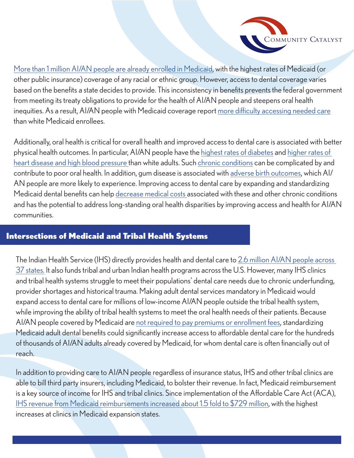

[More than 1 million AI/AN people are already enrolled in Medicaid,](https://aspe.hhs.gov/sites/default/files/2021-07/aspe-aian-health-insurance-coverage-ib.pdf) with the highest rates of Medicaid (or other public insurance) coverage of any racial or ethnic group. However, access to dental coverage varies based on the benefits a state decides to provide. This inconsistency in benefits prevents the federal government from meeting its treaty obligations to provide for the health of AI/AN people and steepens oral health inequities. As a result, AI/AN people with Medicaid coverage report [more difficulty accessing needed care](https://aspe.hhs.gov/sites/default/files/2021-07/aspe-aian-health-insurance-coverage-ib.pdf) than white Medicaid enrollees.

Additionally, oral health is critical for overall health and improved access to dental care is associated with better physical health outcomes. In particular, AI/AN people have the [highest rates of diabetes](https://www.cdc.gov/tribal/data-resources/information/chronic-diseases.html) and [higher rates of](https://minorityhealth.hhs.gov/omh/browse.aspx?lvl=4&lvlid=34)  [heart disease and high blood pressure](https://minorityhealth.hhs.gov/omh/browse.aspx?lvl=4&lvlid=34) than white adults. Such [chronic conditions](https://www.healthypeople.gov/2020/leading-health-indicators/2020-lhi-topics/Oral-Health) can be complicated by and contribute to poor oral health. In addition, gum disease is associated with [adverse birth outcomes,](https://minorityhealth.hhs.gov/omh/browse.aspx?lvl=4&lvlid=38#:~:text=American%20Indian%2FAlaska%20Native%20infants%20are%2050%20percent%20more%20likely,to%20non%2DHispanic%20white%20mothers.) which AI/ AN people are more likely to experience. Improving access to dental care by expanding and standardizing Medicaid dental benefits can help [decrease medical costs a](https://www.ada.org/~/media/ADA/Science%20and%20Research/HPI/Files/WhitePaper_0721.pdf)ssociated with these and other chronic conditions and has the potential to address long-standing oral health disparities by improving access and health for AI/AN communities.

#### Intersections of Medicaid and Tribal Health Systems

The Indian Health Service (IHS) directly provides health and dental care to [2.6 million AI/AN people across](https://aspe.hhs.gov/sites/default/files/2021-07/aspe-aian-health-insurance-coverage-ib.pdf)  [37 states.](https://aspe.hhs.gov/sites/default/files/2021-07/aspe-aian-health-insurance-coverage-ib.pdf) It also funds tribal and urban Indian health programs across the U.S. However, many IHS clinics and tribal health systems struggle to meet their populations' dental care needs due to chronic underfunding, provider shortages and historical trauma. Making adult dental services mandatory in Medicaid would expand access to dental care for millions of low-income AI/AN people outside the tribal health system, while improving the ability of tribal health systems to meet the oral health needs of their patients. Because AI/AN people covered by Medicaid are [not required to pay premiums or enrollment fees,](https://aspe.hhs.gov/sites/default/files/2021-07/aspe-aian-health-insurance-coverage-ib.pdf) standardizing Medicaid adult dental benefits could significantly increase access to affordable dental care for the hundreds of thousands of AI/AN adults already covered by Medicaid, for whom dental care is often financially out of reach.

In addition to providing care to AI/AN people regardless of insurance status, IHS and other tribal clinics are able to bill third party insurers, including Medicaid, to bolster their revenue. In fact, Medicaid reimbursement is a key source of income for IHS and tribal clinics. Since implementation of the Affordable Care Act (ACA), [IHS revenue from Medicaid reimbursements increased about 1.5 fold to \\$729 million](https://aspe.hhs.gov/sites/default/files/2021-07/aspe-aian-health-insurance-coverage-ib.pdf), with the highest increases at clinics in Medicaid expansion states.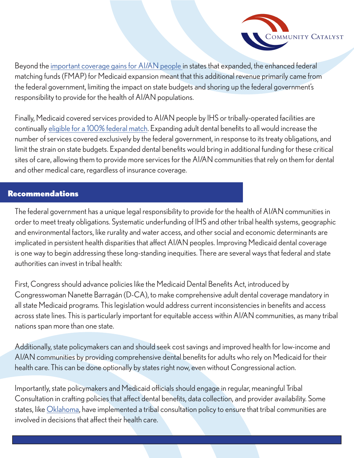

Beyond the [important coverage gains for AI/AN people i](https://aspe.hhs.gov/sites/default/files/2021-07/aspe-aian-health-insurance-coverage-ib.pdf)n states that expanded, the enhanced federal matching funds (FMAP) for Medicaid expansion meant that this additional revenue primarily came from the federal government, limiting the impact on state budgets and shoring up the federal government's responsibility to provide for the health of AI/AN populations.

Finally, Medicaid covered services provided to AI/AN people by IHS or tribally-operated facilities are continually [eligible for a 100% federal match](https://aspe.hhs.gov/sites/default/files/2021-07/aspe-aian-health-insurance-coverage-ib.pdf). Expanding adult dental benefits to all would increase the number of services covered exclusively by the federal government, in response to its treaty obligations, and limit the strain on state budgets. Expanded dental benefits would bring in additional funding for these critical sites of care, allowing them to provide more services for the AI/AN communities that rely on them for dental and other medical care, regardless of insurance coverage.

#### Recommendations

The federal government has a unique legal responsibility to provide for the health of AI/AN communities in order to meet treaty obligations. Systematic underfunding of IHS and other tribal health systems, geographic and environmental factors, like rurality and water access, and other social and economic determinants are implicated in persistent health disparities that affect AI/AN peoples. Improving Medicaid dental coverage is one way to begin addressing these long-standing inequities. There are several ways that federal and state authorities can invest in tribal health:

First, Congress should advance policies like the Medicaid Dental Benefits Act, introduced by Congresswoman Nanette Barragán (D-CA), to make comprehensive adult dental coverage mandatory in all state Medicaid programs. This legislation would address current inconsistencies in benefits and access across state lines. This is particularly important for equitable access within AI/AN communities, as many tribal nations span more than one state.

Additionally, state policymakers can and should seek cost savings and improved health for low-income and AI/AN communities by providing comprehensive dental benefits for adults who rely on Medicaid for their health care. This can be done optionally by states right now, even without Congressional action.

Importantly, state policymakers and Medicaid officials should engage in regular, meaningful Tribal Consultation in crafting policies that affect dental benefits, data collection, and provider availability. Some states, like [Oklahoma,](https://oklahoma.gov/content/dam/ok/en/okhca/documents/a0301/11532.pdf) have implemented a tribal consultation policy to ensure that tribal communities are involved in decisions that affect their health care.